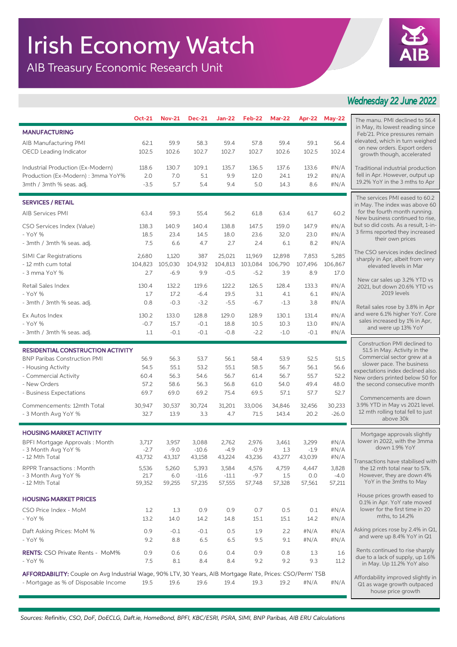## Irish Economy Watch

AIB Treasury Economic Research Unit



## *Wednesday 22 June 2022*

|                                                                                                           | Oct-21                                                           | <b>Nov-21</b>     | <b>Dec-21</b>    |                   | <b>Jan-22</b> Feb-22 | <b>Mar-22</b>  |                | Apr-22 May-22   | The manu. PMI declined to 56.4                                                                                                                                                                                                   |
|-----------------------------------------------------------------------------------------------------------|------------------------------------------------------------------|-------------------|------------------|-------------------|----------------------|----------------|----------------|-----------------|----------------------------------------------------------------------------------------------------------------------------------------------------------------------------------------------------------------------------------|
| <b>MANUFACTURING</b>                                                                                      |                                                                  |                   |                  |                   |                      |                |                |                 | in May, its lowest reading since<br>Feb'21. Price pressures remain                                                                                                                                                               |
| AIB Manufacturing PMI                                                                                     | 62.1                                                             | 59.9              | 58.3             | 59.4              | 57.8                 | 59.4           | 59.1           | 56.4            | elevated, which in turn weighed<br>on new orders. Export orders<br>growth though, accelerated                                                                                                                                    |
| OECD Leading Indicator                                                                                    | 102.5                                                            | 102.6             | 102.7            | 102.7             | 102.7                | 102.6          | 102.5          | 102.4           |                                                                                                                                                                                                                                  |
| Industrial Production (Ex-Modern)                                                                         | 118.6                                                            | 130.7             | 109.1            | 135.7             | 136.5                | 137.6          | 133.6          | #N/A            | Traditional industrial production                                                                                                                                                                                                |
| Production (Ex-Modern) : 3mma YoY%                                                                        | 2.0                                                              | 7.0               | 5.1              | 9.9               | 12.0                 | 24.1           | 19.2           | #N/A            | fell in Apr. However, output up<br>19.2% YoY in the 3 mths to Apr                                                                                                                                                                |
| 3mth / 3mth % seas. adj.                                                                                  | $-3.5$                                                           | 5.7               | 5.4              | 9.4               | 5.0                  | 14.3           | 8.6            | #N/A            |                                                                                                                                                                                                                                  |
| <b>SERVICES / RETAIL</b>                                                                                  | The services PMI eased to 60.2<br>in May. The index was above 60 |                   |                  |                   |                      |                |                |                 |                                                                                                                                                                                                                                  |
| <b>AIB Services PMI</b>                                                                                   | 63.4                                                             | 59.3              | 55.4             | 56.2              | 61.8                 | 63.4           | 61.7           | 60.2            | for the fourth month running.<br>New business continued to rise,<br>but so did costs. As a result, 1-in-<br>3 firms reported they increased<br>their own prices                                                                  |
| CSO Services Index (Value)                                                                                | 138.3                                                            | 140.9             | 140.4            | 138.8             | 147.5                | 159.0          | 147.9          | #N/A            |                                                                                                                                                                                                                                  |
| - YoY %                                                                                                   | 18.5                                                             | 23.4              | 14.5             | 18.0              | 23.6                 | 32.0           | 23.0           | #N/A            |                                                                                                                                                                                                                                  |
| - 3mth / 3mth % seas. adj.                                                                                | 7.5                                                              | 6.6               | 4.7              | 2.7               | 2.4                  | 6.1            | 8.2            | #N/A            | The CSO services index declined                                                                                                                                                                                                  |
| <b>SIMI Car Registrations</b>                                                                             | 2,680                                                            | 1,120             | 387              | 25,021            | 11,969               | 12,898         | 7,853          | 5,285           | sharply in Apr, albeit from very                                                                                                                                                                                                 |
| - 12 mth cum total<br>- 3 mma YoY %                                                                       | 104,823<br>2.7                                                   | 105,030<br>$-6.9$ | 104,932<br>9.9   | 104,813<br>$-0.5$ | 103,084<br>$-5.2$    | 106,790<br>3.9 | 107,496<br>8.9 | 106,867<br>17.0 | elevated levels in Mar                                                                                                                                                                                                           |
| Retail Sales Index                                                                                        | 130.4                                                            | 132.2             | 119.6            | 122.2             | 126.5                | 128.4          | 133.3          | #N/A            | New car sales up 3.2% YTD vs                                                                                                                                                                                                     |
| - YoY %                                                                                                   | 1.7                                                              | 17.2              | $-6.4$           | 19.5              | 3.1                  | 4.1            | 6.1            | #N/A            | 2021, but down 20.6% YTD vs<br>2019 levels                                                                                                                                                                                       |
| - 3mth / 3mth % seas. adj.                                                                                | 0.8                                                              | $-0.3$            | $-3.2$           | $-5.5$            | $-6.7$               | $-1.3$         | 3.8            | #N/A            | Retail sales rose by 3.8% in Apr                                                                                                                                                                                                 |
| Ex Autos Index                                                                                            | 130.2                                                            | 133.0             | 128.8            | 129.0             | 128.9                | 130.1          | 131.4          | #N/A            | and were 6.1% higher YoY. Core<br>sales increased by 1% in Apr,<br>and were up 13% YoY                                                                                                                                           |
| - YoY %                                                                                                   | $-0.7$                                                           | 15.7              | $-0.1$           | 18.8              | 10.5                 | 10.3           | 13.0           | #N/A            |                                                                                                                                                                                                                                  |
| - 3mth / 3mth % seas. adj.                                                                                | 1.1                                                              | $-0.1$            | $-0.1$           | $-0.8$            | $-2.2$               | $-1.0$         | $-0.1$         | #N/A            |                                                                                                                                                                                                                                  |
| <b>RESIDENTIAL CONSTRUCTION ACTIVITY</b>                                                                  |                                                                  |                   |                  |                   |                      |                |                |                 | Construction PMI declined to<br>51.5 in May. Activity in the<br>Commercial sector grew at a<br>slower pace. The business<br>expectations index declined also.<br>New orders printed below 50 for<br>the second consecutive month |
| <b>BNP Paribas Construction PMI</b>                                                                       | 56.9                                                             | 56.3              | 53.7             | 56.1              | 58.4                 | 53.9           | 52.5           | 51.5            |                                                                                                                                                                                                                                  |
| - Housing Activity<br>- Commercial Activity                                                               | 54.5<br>60.4                                                     | 55.1              | 53.2<br>54.6     | 55.1<br>56.7      | 58.5                 | 56.7           | 56.1           | 56.6<br>52.2    |                                                                                                                                                                                                                                  |
| - New Orders                                                                                              | 57.2                                                             | 56.3<br>58.6      | 56.3             | 56.8              | 61.4<br>61.0         | 56.7<br>54.0   | 55.7<br>49.4   | 48.0            |                                                                                                                                                                                                                                  |
| - Business Expectations                                                                                   | 69.7                                                             | 69.0              | 69.2             | 75.4              | 69.5                 | 57.1           | 57.7           | 52.7            |                                                                                                                                                                                                                                  |
| Commencements: 12mth Total                                                                                | 30,947                                                           | 30,537            | 30,724           | 31,201            | 33,006               | 34,846         | 32,456         | 30,233          | Commencements are down<br>3.9% YTD in May vs 2021 level.<br>12 mth rolling total fell to just<br>above 30k                                                                                                                       |
| - 3 Month Avg YoY %                                                                                       | 32.7                                                             | 13.9              | 3.3              | 4.7               | 71.5                 | 143.4          | 20.2           | $-26.0$         |                                                                                                                                                                                                                                  |
| <b>HOUSING MARKET ACTIVITY</b>                                                                            |                                                                  |                   |                  |                   |                      |                |                |                 |                                                                                                                                                                                                                                  |
| BPFI Mortgage Approvals: Month                                                                            | 3,717                                                            | 3,957             | 3,088            | 2,762             | 2,976                | 3,461          | 3,299          | #N/A            | Mortgage approvals slightly<br>lower in 2022, with the 3mma                                                                                                                                                                      |
| - 3 Month Avg YoY %                                                                                       | $-2.7$                                                           | $-9.0$            | $-10.6$          | $-4.9$            | $-0.9$               | 1.3            | $-1.9$         | #N/A            | down 1.9% YoY                                                                                                                                                                                                                    |
| - 12 Mth Total                                                                                            | 43,732                                                           | 43,317            | 43,158           | 43,224            | 43,236               | 43,277         | 43,039         | #N/A            | Transactions have stabilised with                                                                                                                                                                                                |
| <b>RPPR Transactions: Month</b><br>- 3 Month Avg YoY %                                                    | 5,536<br>21.7                                                    | 5,260<br>6.0      | 5,393<br>$-11.6$ | 3,584<br>$-11.1$  | 4,576<br>$-9.7$      | 4,759<br>1.5   | 4,447<br>0.0   | 3,828<br>$-4.0$ | the 12 mth total near to 57k.<br>However, they are down 4%                                                                                                                                                                       |
| - 12 Mth Total                                                                                            | 59,352                                                           | 59,255            | 57,235           | 57,555            | 57,748               | 57,328         | 57,561         | 57,211          | YoY in the 3mths to May                                                                                                                                                                                                          |
| <b>HOUSING MARKET PRICES</b>                                                                              |                                                                  |                   |                  |                   |                      |                |                |                 | House prices growth eased to                                                                                                                                                                                                     |
| CSO Price Index - MoM                                                                                     | 1.2                                                              | 1.3               | 0.9              | 0.9               | 0.7                  | 0.5            | 0.1            | #N/A            | 0.1% in Apr. YoY rate moved<br>lower for the first time in 20                                                                                                                                                                    |
| - YoY %                                                                                                   | 13.2                                                             | 14.0              | 14.2             | 14.8              | 15.1                 | 15.1           | 14.2           | #N/A            | mths, to 14.2%                                                                                                                                                                                                                   |
| Daft Asking Prices: MoM %                                                                                 | 0.9                                                              | $-0.1$            | $-0.1$           | 0.5               | 1.9                  | 2.2            | #N/A           | #N/A            | Asking prices rose by 2.4% in Q1,<br>and were up 8.4% YoY in Q1                                                                                                                                                                  |
| - YoY %                                                                                                   | 9.2                                                              | 8.8               | 6.5              | 6.5               | 9.5                  | 9.1            | #N/A           | #N/A            |                                                                                                                                                                                                                                  |
| <b>RENTS:</b> CSO Private Rents - MoM%                                                                    | 0.9                                                              | 0.6               | 0.6              | 0.4               | 0.9                  | 0.8            | 1.3            | 1.6             | Rents continued to rise sharply<br>due to a lack of supply, up 1.6%<br>in May. Up 11.2% YoY also                                                                                                                                 |
| - YoY %                                                                                                   | 7.5                                                              | 8.1               | 8.4              | 8.4               | 9.2                  | 9.2            | 9.3            | 11.2            |                                                                                                                                                                                                                                  |
| AFFORDABILITY: Couple on Avg Industrial Wage, 90% LTV, 30 Years, AIB Mortgage Rate, Prices: CSO/Perm' TSB |                                                                  |                   |                  |                   |                      |                |                |                 | Affordability improved slightly in                                                                                                                                                                                               |
| - Mortgage as % of Disposable Income                                                                      | 19.5                                                             | 19.6              | 19.6             | 19.4              | 19.3                 | 19.2           | #N/A           | # $N/A$         | Q1 as wage growth outpaced                                                                                                                                                                                                       |
|                                                                                                           |                                                                  |                   |                  |                   |                      |                |                |                 | house price growth                                                                                                                                                                                                               |